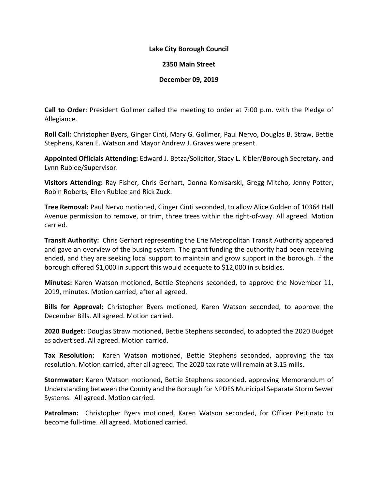## **Lake City Borough Council**

## **2350 Main Street**

## **December 09, 2019**

**Call to Order**: President Gollmer called the meeting to order at 7:00 p.m. with the Pledge of Allegiance.

**Roll Call:** Christopher Byers, Ginger Cinti, Mary G. Gollmer, Paul Nervo, Douglas B. Straw, Bettie Stephens, Karen E. Watson and Mayor Andrew J. Graves were present.

**Appointed Officials Attending:** Edward J. Betza/Solicitor, Stacy L. Kibler/Borough Secretary, and Lynn Rublee/Supervisor.

**Visitors Attending:** Ray Fisher, Chris Gerhart, Donna Komisarski, Gregg Mitcho, Jenny Potter, Robin Roberts, Ellen Rublee and Rick Zuck.

**Tree Removal:** Paul Nervo motioned, Ginger Cinti seconded, to allow Alice Golden of 10364 Hall Avenue permission to remove, or trim, three trees within the right-of-way. All agreed. Motion carried.

**Transit Authority:** Chris Gerhart representing the Erie Metropolitan Transit Authority appeared and gave an overview of the busing system. The grant funding the authority had been receiving ended, and they are seeking local support to maintain and grow support in the borough. If the borough offered \$1,000 in support this would adequate to \$12,000 in subsidies.

**Minutes:** Karen Watson motioned, Bettie Stephens seconded, to approve the November 11, 2019, minutes. Motion carried, after all agreed.

**Bills for Approval:** Christopher Byers motioned, Karen Watson seconded, to approve the December Bills. All agreed. Motion carried.

**2020 Budget:** Douglas Straw motioned, Bettie Stephens seconded, to adopted the 2020 Budget as advertised. All agreed. Motion carried.

**Tax Resolution:** Karen Watson motioned, Bettie Stephens seconded, approving the tax resolution. Motion carried, after all agreed. The 2020 tax rate will remain at 3.15 mills.

**Stormwater:** Karen Watson motioned, Bettie Stephens seconded, approving Memorandum of Understanding between the County and the Borough for NPDES Municipal Separate Storm Sewer Systems. All agreed. Motion carried.

**Patrolman:** Christopher Byers motioned, Karen Watson seconded, for Officer Pettinato to become full-time. All agreed. Motioned carried.